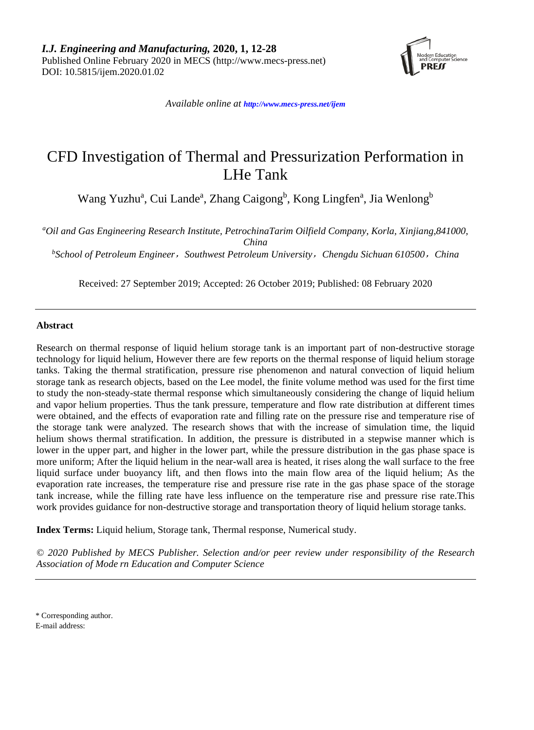

*Available online at <http://www.mecs-press.net/ijem>*

# CFD Investigation of Thermal and Pressurization Performation in LHe Tank

Wang Yuzhu<sup>a</sup>, Cui Lande<sup>a</sup>, Zhang Caigong<sup>b</sup>, Kong Lingfen<sup>a</sup>, Jia Wenlong<sup>b</sup>

*a Oil and Gas Engineering Research Institute, PetrochinaTarim Oilfield Company, Korla, Xinjiang,841000, China*

*b School of Petroleum Engineer*,*Southwest Petroleum University*,*Chengdu Sichuan 610500*,*China*

Received: 27 September 2019; Accepted: 26 October 2019; Published: 08 February 2020

## **Abstract**

Research on thermal response of liquid helium storage tank is an important part of non-destructive storage technology for liquid helium, However there are few reports on the thermal response of liquid helium storage tanks. Taking the thermal stratification, pressure rise phenomenon and natural convection of liquid helium storage tank as research objects, based on the Lee model, the finite volume method was used for the first time to study the non-steady-state thermal response which simultaneously considering the change of liquid helium and vapor helium properties. Thus the tank pressure, temperature and flow rate distribution at different times were obtained, and the effects of evaporation rate and filling rate on the pressure rise and temperature rise of the storage tank were analyzed. The research shows that with the increase of simulation time, the liquid helium shows thermal stratification. In addition, the pressure is distributed in a stepwise manner which is lower in the upper part, and higher in the lower part, while the pressure distribution in the gas phase space is more uniform; After the liquid helium in the near-wall area is heated, it rises along the wall surface to the free liquid surface under buoyancy lift, and then flows into the main flow area of the liquid helium; As the evaporation rate increases, the temperature rise and pressure rise rate in the gas phase space of the storage tank increase, while the filling rate have less influence on the temperature rise and pressure rise rate.This work provides guidance for non-destructive storage and transportation theory of liquid helium storage tanks.

**Index Terms:** Liquid helium, Storage tank, Thermal response, Numerical study.

*© 2020 Published by MECS Publisher. Selection and/or peer review under responsibility of the Research Association of Mode rn Education and Computer Science*

\* Corresponding author.

E-mail address: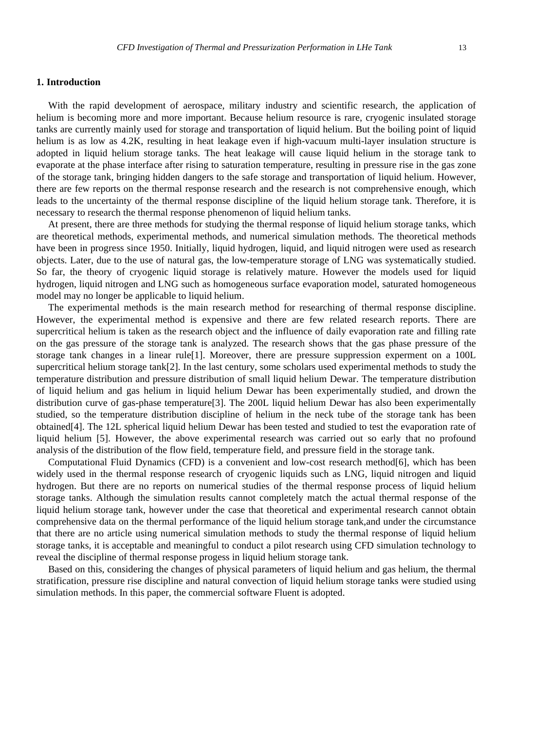## **1. Introduction**

With the rapid development of aerospace, military industry and scientific research, the application of helium is becoming more and more important. Because helium resource is rare, cryogenic insulated storage tanks are currently mainly used for storage and transportation of liquid helium. But the boiling point of liquid helium is as low as 4.2K, resulting in heat leakage even if high-vacuum multi-layer insulation structure is adopted in liquid helium storage tanks. The heat leakage will cause liquid helium in the storage tank to evaporate at the phase interface after rising to saturation temperature, resulting in pressure rise in the gas zone of the storage tank, bringing hidden dangers to the safe storage and transportation of liquid helium. However, there are few reports on the thermal response research and the research is not comprehensive enough, which leads to the uncertainty of the thermal response discipline of the liquid helium storage tank. Therefore, it is necessary to research the thermal response phenomenon of liquid helium tanks.

At present, there are three methods for studying the thermal response of liquid helium storage tanks, which are theoretical methods, experimental methods, and numerical simulation methods. The theoretical methods have been in progress since 1950. Initially, liquid hydrogen, liquid, and liquid nitrogen were used as research objects. Later, due to the use of natural gas, the low-temperature storage of LNG was systematically studied. So far, the theory of cryogenic liquid storage is relatively mature. However the models used for liquid hydrogen, liquid nitrogen and LNG such as homogeneous surface evaporation model, saturated homogeneous model may no longer be applicable to liquid helium.

The experimental methods is the main research method for researching of thermal response discipline. However, the experimental method is expensive and there are few related research reports. There are supercritical helium is taken as the research object and the influence of daily evaporation rate and filling rate on the gas pressure of the storage tank is analyzed. The research shows that the gas phase pressure of the storage tank changes in a linear rule[1]. Moreover, there are pressure suppression experment on a 100L supercritical helium storage tank[2]. In the last century, some scholars used experimental methods to study the temperature distribution and pressure distribution of small liquid helium Dewar. The temperature distribution of liquid helium and gas helium in liquid helium Dewar has been experimentally studied, and drown the distribution curve of gas-phase temperature[3]. The 200L liquid helium Dewar has also been experimentally studied, so the temperature distribution discipline of helium in the neck tube of the storage tank has been obtained[4]. The 12L spherical liquid helium Dewar has been tested and studied to test the evaporation rate of liquid helium [5]. However, the above experimental research was carried out so early that no profound analysis of the distribution of the flow field, temperature field, and pressure field in the storage tank.

Computational Fluid Dynamics (CFD) is a convenient and low-cost research method[6], which has been widely used in the thermal response research of cryogenic liquids such as LNG, liquid nitrogen and liquid hydrogen. But there are no reports on numerical studies of the thermal response process of liquid helium storage tanks. Although the simulation results cannot completely match the actual thermal response of the liquid helium storage tank, however under the case that theoretical and experimental research cannot obtain comprehensive data on the thermal performance of the liquid helium storage tank,and under the circumstance that there are no article using numerical simulation methods to study the thermal response of liquid helium storage tanks, it is acceptable and meaningful to conduct a pilot research using CFD simulation technology to reveal the discipline of thermal response progess in liquid helium storage tank.

Based on this, considering the changes of physical parameters of liquid helium and gas helium, the thermal stratification, pressure rise discipline and natural convection of liquid helium storage tanks were studied using simulation methods. In this paper, the commercial software Fluent is adopted.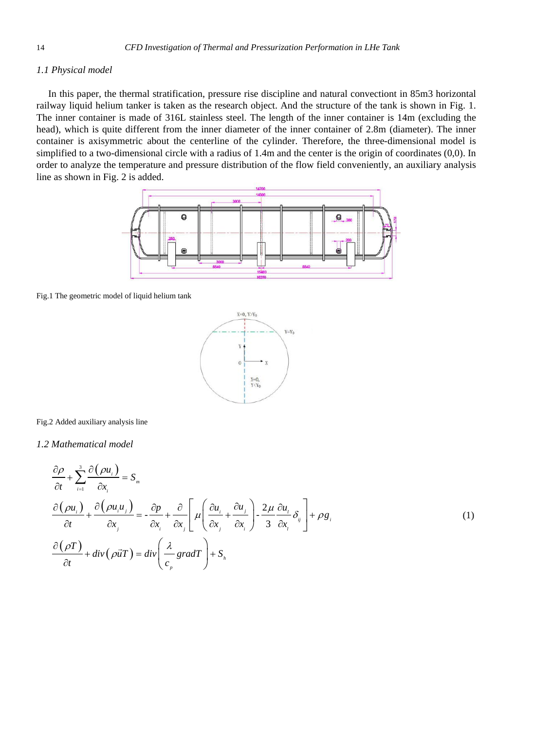## *1.1 Physical model*

In this paper, the thermal stratification, pressure rise discipline and natural convectiont in 85m3 horizontal railway liquid helium tanker is taken as the research object. And the structure of the tank is shown in Fig. 1. The inner container is made of 316L stainless steel. The length of the inner container is 14m (excluding the head), which is quite different from the inner diameter of the inner container of 2.8m (diameter). The inner container is axisymmetric about the centerline of the cylinder. Therefore, the three-dimensional model is simplified to a two-dimensional circle with a radius of 1.4m and the center is the origin of coordinates (0,0). In order to analyze the temperature and pressure distribution of the flow field conveniently, an auxiliary analysis line as shown in Fig. 2 is added.



Fig.1 The geometric model of liquid helium tank



Fig.2 Added auxiliary analysis line

*1.2 Mathematical model*

$$
\frac{\partial \rho}{\partial t} + \sum_{i=1}^{3} \frac{\partial (\rho u_i)}{\partial x_i} = S_m
$$
\n
$$
\frac{\partial (\rho u_i)}{\partial t} + \frac{\partial (\rho u_i u_j)}{\partial x_j} = -\frac{\partial \rho}{\partial x_i} + \frac{\partial}{\partial x_j} \left[ \mu \left( \frac{\partial u_i}{\partial x_j} + \frac{\partial u_j}{\partial x_i} \right) - \frac{2\mu}{3} \frac{\partial u_i}{\partial x_i} \delta_{ij} \right] + \rho g_i
$$
\n
$$
\frac{\partial (\rho T)}{\partial t} + \text{div}(\rho \vec{u}T) = \text{div} \left( \frac{\lambda}{c_p} \text{grad}T \right) + S_n
$$
\n(1)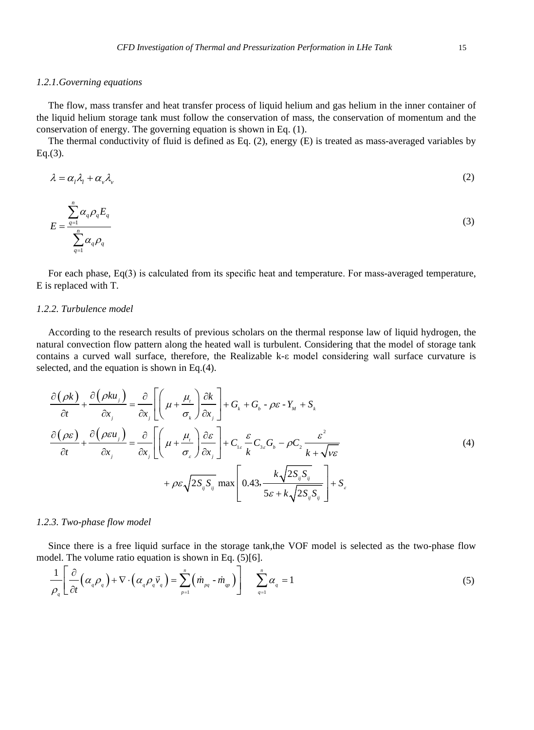## *1.2.1.Governing equations*

The flow, mass transfer and heat transfer process of liquid helium and gas helium in the inner container of the liquid helium storage tank must follow the conservation of mass, the conservation of momentum and the conservation of energy. The governing equation is shown in Eq. (1).

The thermal conductivity of fluid is defined as Eq. (2), energy (E) is treated as mass-averaged variables by Eq.(3).

$$
\lambda = \alpha_1 \lambda_1 + \alpha_2 \lambda_2 \tag{2}
$$

$$
E = \frac{\sum_{q=1}^{n} \alpha_q \rho_q E_q}{\sum_{q=1}^{n} \alpha_q \rho_q}
$$
 (3)

For each phase, Eq(3) is calculated from its specific heat and temperature. For mass-averaged temperature, E is replaced with T.

#### *1.2.2. Turbulence model*

According to the research results of previous scholars on the thermal response law of liquid hydrogen, the natural convection flow pattern along the heated wall is turbulent. Considering that the model of storage tank contains a curved wall surface, therefore, the Realizable k-ε model considering wall surface curvature is selected, and the equation is shown in Eq.(4).

$$
\frac{\partial (\rho k)}{\partial t} + \frac{\partial (\rho k u_j)}{\partial x_j} = \frac{\partial}{\partial x_j} \left[ \left( \mu + \frac{\mu_i}{\sigma_k} \right) \frac{\partial k}{\partial x_j} \right] + G_k + G_b - \rho \varepsilon - Y_M + S_k
$$
\n
$$
\frac{\partial (\rho \varepsilon)}{\partial t} + \frac{\partial (\rho \varepsilon u_j)}{\partial x_j} = \frac{\partial}{\partial x_j} \left[ \left( \mu + \frac{\mu_i}{\sigma_s} \right) \frac{\partial \varepsilon}{\partial x_j} \right] + C_{1\varepsilon} \frac{\varepsilon}{k} C_{3\varepsilon} G_b - \rho C_2 \frac{\varepsilon^2}{k + \sqrt{\nu \varepsilon}}
$$
\n
$$
+ \rho \varepsilon \sqrt{2S_{ij}S_{ij}} \max \left[ 0.43, \frac{k \sqrt{2S_{ij}S_{ij}}}{5\varepsilon + k \sqrt{2S_{ij}S_{ij}}} \right] + S_\varepsilon
$$
\n(4)

#### *1.2.3. Two-phase flow model*

Since there is a free liquid surface in the storage tank,the VOF model is selected as the two-phase flow model. The volume ratio equation is shown in Eq. (5)[6].

$$
\frac{1}{\rho_q} \left[ \frac{\partial}{\partial t} \left( \alpha_q \rho_q \right) + \nabla \cdot \left( \alpha_q \rho_q \vec{v}_q \right) = \sum_{p=1}^n \left( \dot{m}_{pq} - \dot{m}_{qp} \right) \right] \sum_{q=1}^n \alpha_q = 1 \tag{5}
$$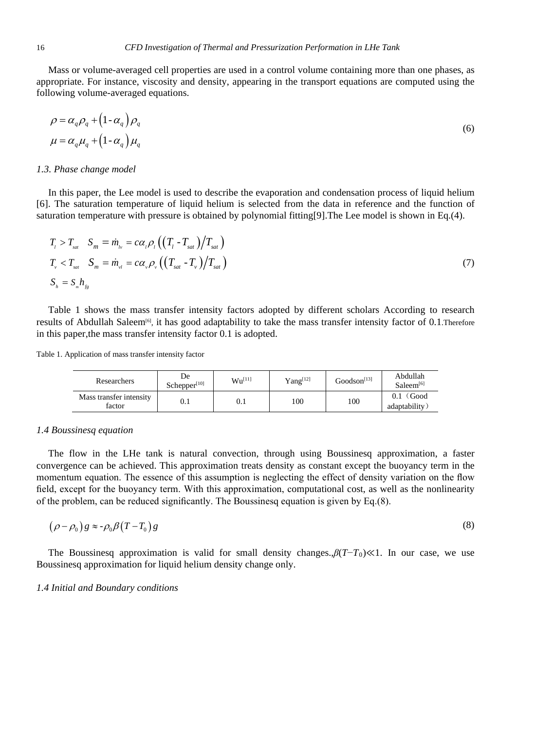Mass or volume-averaged cell properties are used in a control volume containing more than one phases, as appropriate. For instance, viscosity and density, appearing in the transport equations are computed using the following volume-averaged equations.

$$
\rho = \alpha_q \rho_q + (1 - \alpha_q) \rho_q
$$
  
\n
$$
\mu = \alpha_q \mu_q + (1 - \alpha_q) \mu_q
$$
\n(6)

#### *1.3. Phase change model*

In this paper, the Lee model is used to describe the evaporation and condensation process of liquid helium [6]. The saturation temperature of liquid helium is selected from the data in reference and the function of saturation temperature with pressure is obtained by polynomial fitting[9].The Lee model is shown in Eq.(4).

$$
T_{\scriptscriptstyle l} > T_{\scriptscriptstyle sat} \quad S_m = \dot{m}_{\scriptscriptstyle l\nu} = c\alpha_{\scriptscriptstyle l}\rho_{\scriptscriptstyle l}\left(\left(T_{\scriptscriptstyle l} - T_{\scriptscriptstyle sat}\right)/T_{\scriptscriptstyle sat}\right)
$$
  
\n
$$
T_{\scriptscriptstyle v} < T_{\scriptscriptstyle sat} \quad S_m = \dot{m}_{\scriptscriptstyle v\scriptscriptstyle l} = c\alpha_{\scriptscriptstyle v}\rho_{\scriptscriptstyle v}\left(\left(T_{\scriptscriptstyle sat} - T_{\scriptscriptstyle v}\right)/T_{\scriptscriptstyle sat}\right)
$$
  
\n
$$
S_{\scriptscriptstyle h} = S_{\scriptscriptstyle m} h_{\scriptscriptstyle f\scriptscriptstyle g}
$$
\n(7)

Table 1 shows the mass transfer intensity factors adopted by different scholars According to research results of Abdullah Saleem[6], it has good adaptability to take the mass transfer intensity factor of 0.1.Therefore in this paper,the mass transfer intensity factor 0.1 is adopted.

Table 1. Application of mass transfer intensity factor

| Researchers                       | De<br>Schepper <sup>[10]</sup> | $Wu^{[11]}$ | $Yang^{[12]}$ | Goodson <sup>[13]</sup> | Abdullah<br>Saleem <sup>[6]</sup> |
|-----------------------------------|--------------------------------|-------------|---------------|-------------------------|-----------------------------------|
| Mass transfer intensity<br>factor | $\rm 0.1$                      | 0.1         | 100           | 100                     | Good<br>adaptability              |

## *1.4 Boussinesq equation*

The flow in the LHe tank is natural convection, through using Boussinesq approximation, a faster convergence can be achieved. This approximation treats density as constant except the buoyancy term in the momentum equation. The essence of this assumption is neglecting the effect of density variation on the flow field, except for the buoyancy term. With this approximation, computational cost, as well as the nonlinearity of the problem, can be reduced significantly. The Boussinesq equation is given by Eq.(8).

$$
(\rho - \rho_0) g \approx -\rho_0 \beta (T - T_0) g \tag{8}
$$

The Boussinesq approximation is valid for small density changes.,*β*(*T*−*T*0)≪1. In our case, we use Boussinesq approximation for liquid helium density change only.

## *1.4 Initial and Boundary conditions*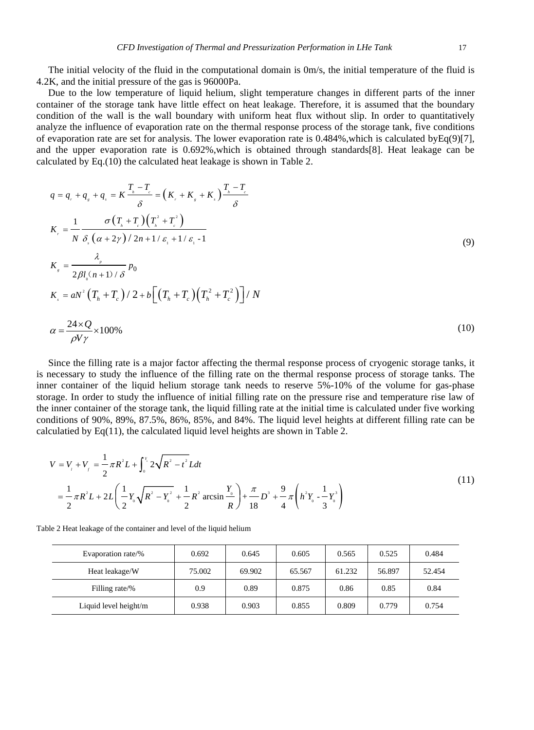The initial velocity of the fluid in the computational domain is 0m/s, the initial temperature of the fluid is 4.2K, and the initial pressure of the gas is 96000Pa.

Due to the low temperature of liquid helium, slight temperature changes in different parts of the inner container of the storage tank have little effect on heat leakage. Therefore, it is assumed that the boundary condition of the wall is the wall boundary with uniform heat flux without slip. In order to quantitatively analyze the influence of evaporation rate on the thermal response process of the storage tank, five conditions of evaporation rate are set for analysis. The lower evaporation rate is  $0.484\%$ , which is calculated byEq(9)[7], and the upper evaporation rate is 0.692%,which is obtained through standards[8]. Heat leakage can be calculated by Eq.(10) the calculated heat leakage is shown in Table 2.

$$
q = q_{r} + q_{s} + q_{s} = K \frac{T_{h} - T_{c}}{\delta} = (K_{r} + K_{s} + K_{s}) \frac{T_{h} - T_{c}}{\delta}
$$
  
\n
$$
K_{r} = \frac{1}{N} \frac{\sigma (T_{h} + T_{c}) (T_{h}^{2} + T_{c}^{2})}{\delta_{s} (\alpha + 2\gamma)/2n + 1/\epsilon_{1} + 1/\epsilon_{1} - 1}
$$
  
\n
$$
K_{s} = \frac{\lambda_{p}}{2\beta l_{o} (n + 1)/\delta} p_{0}
$$
  
\n
$$
K_{s} = aN^{2} (T_{h} + T_{c})/2 + b \left[ (T_{h} + T_{c}) (T_{h}^{2} + T_{c}^{2}) \right] / N
$$
  
\n
$$
\alpha = \frac{24 \times Q}{\rho V \gamma} \times 100\%
$$
\n(10)

Since the filling rate is a major factor affecting the thermal response process of cryogenic storage tanks, it is necessary to study the influence of the filling rate on the thermal response process of storage tanks. The inner container of the liquid helium storage tank needs to reserve 5%-10% of the volume for gas-phase storage. In order to study the influence of initial filling rate on the pressure rise and temperature rise law of the inner container of the storage tank, the liquid filling rate at the initial time is calculated under five working conditions of 90%, 89%, 87.5%, 86%, 85%, and 84%. The liquid level heights at different filling rate can be calculatied by Eq(11), the calculated liquid level heights are shown in Table 2.

$$
V = V_{i} + V_{j} = \frac{1}{2}\pi R^{2}L + \int_{0}^{\gamma} 2\sqrt{R^{2} - t^{2}}Ldt
$$
  
=  $\frac{1}{2}\pi R^{2}L + 2L\left(\frac{1}{2}Y_{0}\sqrt{R^{2} - Y_{0}^{2}} + \frac{1}{2}R^{2}\arcsin\frac{Y}{R}\right) + \frac{\pi}{18}D^{3} + \frac{9}{4}\pi\left(h^{2}Y_{0} - \frac{1}{3}Y_{0}^{3}\right)$  (11)

| Evaporation rate/%    | 0.692  | 0.645  | 0.605  | 0.565  | 0.525  | 0.484  |
|-----------------------|--------|--------|--------|--------|--------|--------|
| Heat leakage/W        | 75.002 | 69.902 | 65.567 | 61.232 | 56.897 | 52.454 |
| Filling rate/%        | 0.9    | 0.89   | 0.875  | 0.86   | 0.85   | 0.84   |
| Liquid level height/m | 0.938  | 0.903  | 0.855  | 0.809  | 0.779  | 0.754  |

Table 2 Heat leakage of the container and level of the liquid helium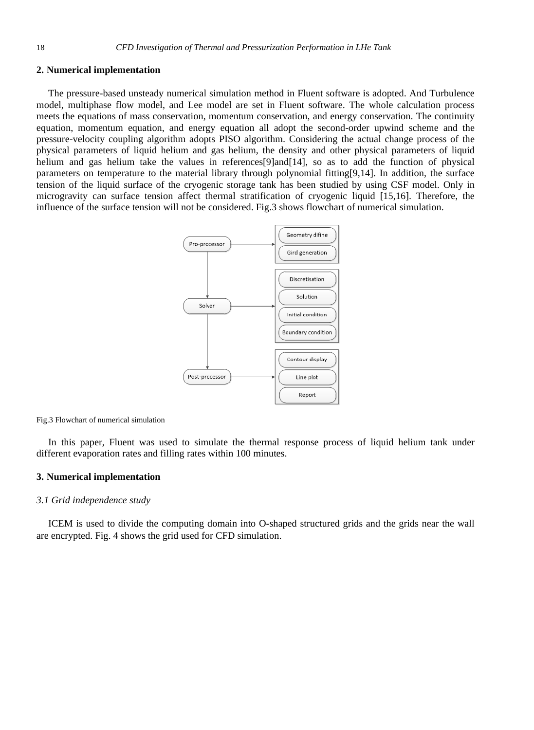## **2. Numerical implementation**

The pressure-based unsteady numerical simulation method in Fluent software is adopted. And Turbulence model, multiphase flow model, and Lee model are set in Fluent software. The whole calculation process meets the equations of mass conservation, momentum conservation, and energy conservation. The continuity equation, momentum equation, and energy equation all adopt the second-order upwind scheme and the pressure-velocity coupling algorithm adopts PISO algorithm. Considering the actual change process of the physical parameters of liquid helium and gas helium, the density and other physical parameters of liquid helium and gas helium take the values in references[9]and[14], so as to add the function of physical parameters on temperature to the material library through polynomial fitting[9,14]. In addition, the surface tension of the liquid surface of the cryogenic storage tank has been studied by using CSF model. Only in microgravity can surface tension affect thermal stratification of cryogenic liquid [15,16]. Therefore, the influence of the surface tension will not be considered. Fig.3 shows flowchart of numerical simulation.



Fig.3 Flowchart of numerical simulation

In this paper, Fluent was used to simulate the thermal response process of liquid helium tank under different evaporation rates and filling rates within 100 minutes.

## **3. Numerical implementation**

## *3.1 Grid independence study*

ICEM is used to divide the computing domain into O-shaped structured grids and the grids near the wall are encrypted. Fig. 4 shows the grid used for CFD simulation.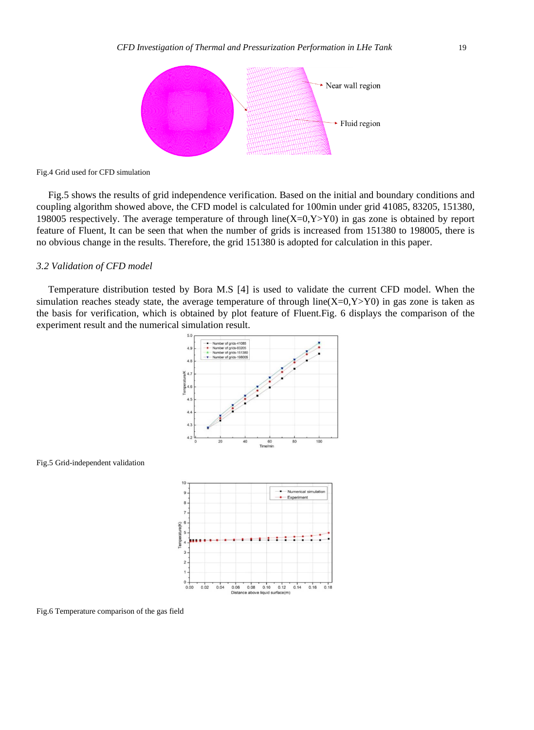

Fig.4 Grid used for CFD simulation

Fig.5 shows the results of grid independence verification. Based on the initial and boundary conditions and coupling algorithm showed above, the CFD model is calculated for 100min under grid 41085, 83205, 151380, 198005 respectively. The average temperature of through line( $X=0, Y>Y0$ ) in gas zone is obtained by report feature of Fluent, It can be seen that when the number of grids is increased from 151380 to 198005, there is no obvious change in the results. Therefore, the grid 151380 is adopted for calculation in this paper.

#### *3.2 Validation of CFD model*

Temperature distribution tested by Bora M.S [4] is used to validate the current CFD model. When the simulation reaches steady state, the average temperature of through line( $X=0, Y>Y0$ ) in gas zone is taken as the basis for verification, which is obtained by plot feature of Fluent.Fig. 6 displays the comparison of the experiment result and the numerical simulation result.





Fig.6 Temperature comparison of the gas field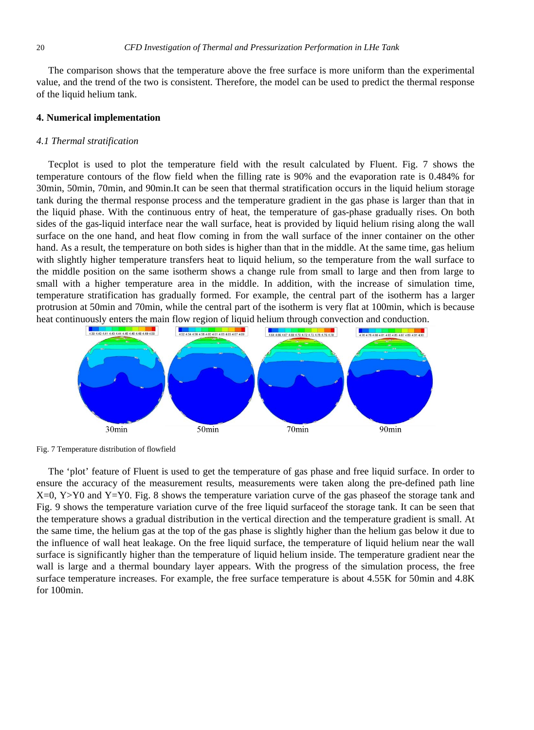The comparison shows that the temperature above the free surface is more uniform than the experimental value, and the trend of the two is consistent. Therefore, the model can be used to predict the thermal response of the liquid helium tank.

#### **4. Numerical implementation**

#### *4.1 Thermal stratification*

Tecplot is used to plot the temperature field with the result calculated by Fluent. Fig. 7 shows the temperature contours of the flow field when the filling rate is 90% and the evaporation rate is 0.484% for 30min, 50min, 70min, and 90min.It can be seen that thermal stratification occurs in the liquid helium storage tank during the thermal response process and the temperature gradient in the gas phase is larger than that in the liquid phase. With the continuous entry of heat, the temperature of gas-phase gradually rises. On both sides of the gas-liquid interface near the wall surface, heat is provided by liquid helium rising along the wall surface on the one hand, and heat flow coming in from the wall surface of the inner container on the other hand. As a result, the temperature on both sides is higher than that in the middle. At the same time, gas helium with slightly higher temperature transfers heat to liquid helium, so the temperature from the wall surface to the middle position on the same isotherm shows a change rule from small to large and then from large to small with a higher temperature area in the middle. In addition, with the increase of simulation time, temperature stratification has gradually formed. For example, the central part of the isotherm has a larger protrusion at 50min and 70min, while the central part of the isotherm is very flat at 100min, which is because heat continuously enters the main flow region of liquid helium through convection and conduction.



Fig. 7 Temperature distribution of flowfield

The 'plot' feature of Fluent is used to get the temperature of gas phase and free liquid surface. In order to ensure the accuracy of the measurement results, measurements were taken along the pre-defined path line  $X=0$ , Y  $>$  Y0 and Y  $=$  Y0. Fig. 8 shows the temperature variation curve of the gas phaseof the storage tank and Fig. 9 shows the temperature variation curve of the free liquid surfaceof the storage tank. It can be seen that the temperature shows a gradual distribution in the vertical direction and the temperature gradient is small. At the same time, the helium gas at the top of the gas phase is slightly higher than the helium gas below it due to the influence of wall heat leakage. On the free liquid surface, the temperature of liquid helium near the wall surface is significantly higher than the temperature of liquid helium inside. The temperature gradient near the wall is large and a thermal boundary layer appears. With the progress of the simulation process, the free surface temperature increases. For example, the free surface temperature is about 4.55K for 50min and 4.8K for 100min.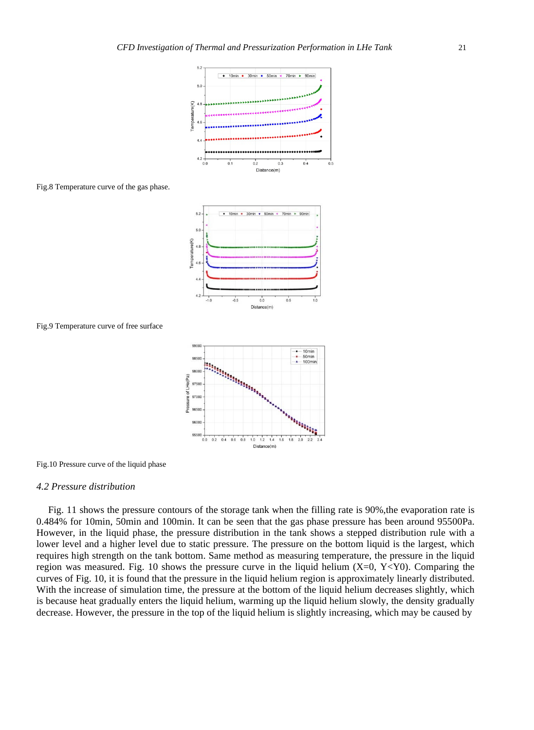



 $0.0$ 

Distance(m)

 $0.5$ 

1.0

 $\overline{4}$ 4.5

Fig.8 Temperature curve of the gas phase.





 $-0.1$ 

Fig.10 Pressure curve of the liquid phase

#### *4.2 Pressure distribution*

Fig. 11 shows the pressure contours of the storage tank when the filling rate is 90%, the evaporation rate is 0.484% for 10min, 50min and 100min. It can be seen that the gas phase pressure has been around 95500Pa. However, in the liquid phase, the pressure distribution in the tank shows a stepped distribution rule with a lower level and a higher level due to static pressure. The pressure on the bottom liquid is the largest, which requires high strength on the tank bottom. Same method as measuring temperature, the pressure in the liquid region was measured. Fig. 10 shows the pressure curve in the liquid helium (X=0, Y<Y0). Comparing the curves of Fig. 10, it is found that the pressure in the liquid helium region is approximately linearly distributed. With the increase of simulation time, the pressure at the bottom of the liquid helium decreases slightly, which is because heat gradually enters the liquid helium, warming up the liquid helium slowly, the density gradually decrease. However, the pressure in the top of the liquid helium is slightly increasing, which may be caused by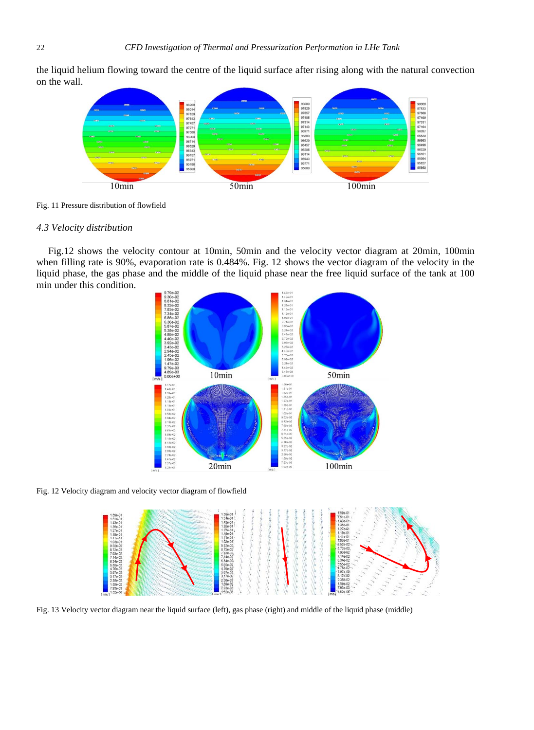the liquid helium flowing toward the centre of the liquid surface after rising along with the natural convection on the wall.





## *4.3 Velocity distribution*

Fig.12 shows the velocity contour at 10min, 50min and the velocity vector diagram at 20min, 100min when filling rate is 90%, evaporation rate is 0.484%. Fig. 12 shows the vector diagram of the velocity in the liquid phase, the gas phase and the middle of the liquid phase near the free liquid surface of the tank at 100 min under this condition.







Fig. 13 Velocity vector diagram near the liquid surface (left), gas phase (right) and middle of the liquid phase (middle)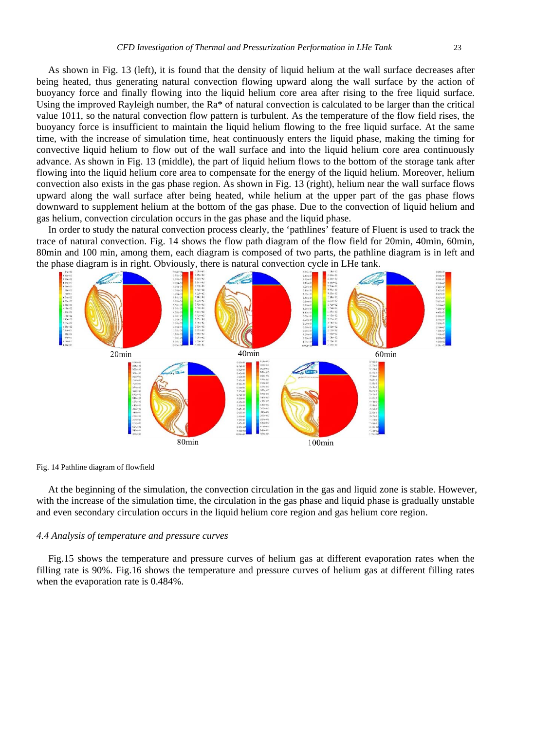As shown in Fig. 13 (left), it is found that the density of liquid helium at the wall surface decreases after being heated, thus generating natural convection flowing upward along the wall surface by the action of buoyancy force and finally flowing into the liquid helium core area after rising to the free liquid surface. Using the improved Rayleigh number, the Ra\* of natural convection is calculated to be larger than the critical value 1011, so the natural convection flow pattern is turbulent. As the temperature of the flow field rises, the buoyancy force is insufficient to maintain the liquid helium flowing to the free liquid surface. At the same time, with the increase of simulation time, heat continuously enters the liquid phase, making the timing for convective liquid helium to flow out of the wall surface and into the liquid helium core area continuously advance. As shown in Fig. 13 (middle), the part of liquid helium flows to the bottom of the storage tank after

flowing into the liquid helium core area to compensate for the energy of the liquid helium. Moreover, helium convection also exists in the gas phase region. As shown in Fig. 13 (right), helium near the wall surface flows upward along the wall surface after being heated, while helium at the upper part of the gas phase flows downward to supplement helium at the bottom of the gas phase. Due to the convection of liquid helium and gas helium, convection circulation occurs in the gas phase and the liquid phase.

In order to study the natural convection process clearly, the 'pathlines' feature of Fluent is used to track the trace of natural convection. Fig. 14 shows the flow path diagram of the flow field for 20min, 40min, 60min, 80min and 100 min, among them, each diagram is composed of two parts, the pathline diagram is in left and the phase diagram is in right. Obviously, there is natural convection cycle in LHe tank.



#### Fig. 14 Pathline diagram of flowfield

At the beginning of the simulation, the convection circulation in the gas and liquid zone is stable. However, with the increase of the simulation time, the circulation in the gas phase and liquid phase is gradually unstable and even secondary circulation occurs in the liquid helium core region and gas helium core region.

# *4.4 Analysis of temperature and pressure curves*

Fig.15 shows the temperature and pressure curves of helium gas at different evaporation rates when the filling rate is 90%. Fig.16 shows the temperature and pressure curves of helium gas at different filling rates when the evaporation rate is 0.484%.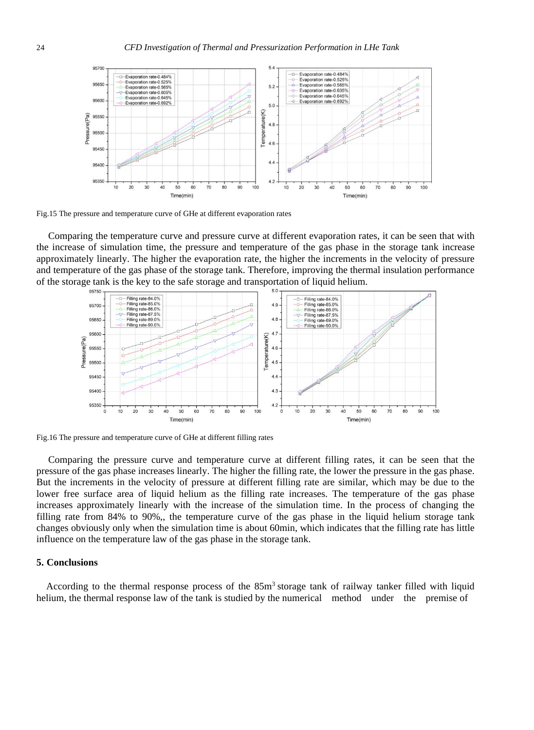

Fig.15 The pressure and temperature curve of GHe at different evaporation rates

Comparing the temperature curve and pressure curve at different evaporation rates, it can be seen that with the increase of simulation time, the pressure and temperature of the gas phase in the storage tank increase approximately linearly. The higher the evaporation rate, the higher the increments in the velocity of pressure and temperature of the gas phase of the storage tank. Therefore, improving the thermal insulation performance of the storage tank is the key to the safe storage and transportation of liquid helium.



Fig.16 The pressure and temperature curve of GHe at different filling rates

Comparing the pressure curve and temperature curve at different filling rates, it can be seen that the pressure of the gas phase increases linearly. The higher the filling rate, the lower the pressure in the gas phase. But the increments in the velocity of pressure at different filling rate are similar, which may be due to the lower free surface area of liquid helium as the filling rate increases. The temperature of the gas phase increases approximately linearly with the increase of the simulation time. In the process of changing the filling rate from 84% to 90%,, the temperature curve of the gas phase in the liquid helium storage tank changes obviously only when the simulation time is about 60min, which indicates that the filling rate has little influence on the temperature law of the gas phase in the storage tank.

## **5. Conclusions**

According to the thermal response process of the  $85m<sup>3</sup>$  storage tank of railway tanker filled with liquid helium, the thermal response law of the tank is studied by the numerical method under the premise of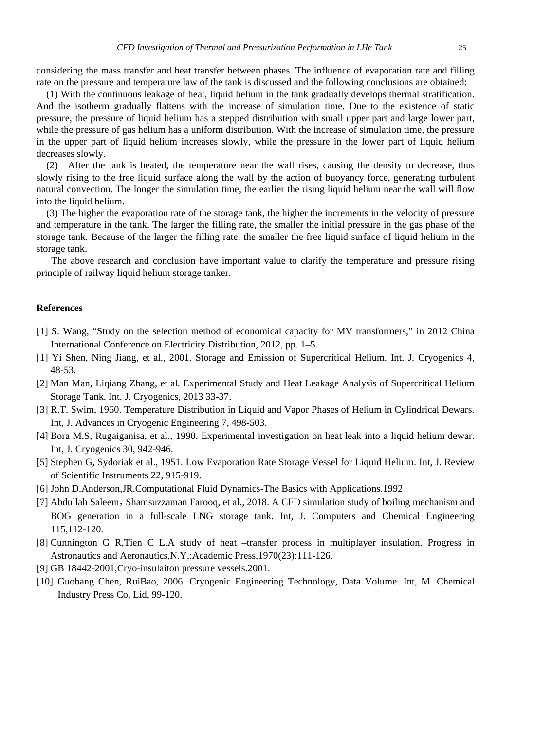considering the mass transfer and heat transfer between phases. The influence of evaporation rate and filling rate on the pressure and temperature law of the tank is discussed and the following conclusions are obtained:

(1) With the continuous leakage of heat, liquid helium in the tank gradually develops thermal stratification. And the isotherm gradually flattens with the increase of simulation time. Due to the existence of static pressure, the pressure of liquid helium has a stepped distribution with small upper part and large lower part, while the pressure of gas helium has a uniform distribution. With the increase of simulation time, the pressure in the upper part of liquid helium increases slowly, while the pressure in the lower part of liquid helium decreases slowly.

(2) After the tank is heated, the temperature near the wall rises, causing the density to decrease, thus slowly rising to the free liquid surface along the wall by the action of buoyancy force, generating turbulent natural convection. The longer the simulation time, the earlier the rising liquid helium near the wall will flow into the liquid helium.

(3) The higher the evaporation rate of the storage tank, the higher the increments in the velocity of pressure and temperature in the tank. The larger the filling rate, the smaller the initial pressure in the gas phase of the storage tank. Because of the larger the filling rate, the smaller the free liquid surface of liquid helium in the storage tank.

The above research and conclusion have important value to clarify the temperature and pressure rising principle of railway liquid helium storage tanker.

#### **References**

- [1] S. Wang, "Study on the selection method of economical capacity for MV transformers," in 2012 China International Conference on Electricity Distribution, 2012, pp. 1–5.
- [1] Yi Shen, Ning Jiang, et al., 2001. Storage and Emission of Supercritical Helium. Int. J. Cryogenics 4, 48-53.
- [2] Man Man, Liqiang Zhang, et al. Experimental Study and Heat Leakage Analysis of Supercritical Helium Storage Tank. Int. J. Cryogenics, 2013 33-37.
- [3] R.T. Swim, 1960. Temperature Distribution in Liquid and Vapor Phases of Helium in Cylindrical Dewars. Int, J. Advances in Cryogenic Engineering 7, 498-503.
- [4] Bora M.S, Rugaiganisa, et al., 1990. Experimental investigation on heat leak into a liquid helium dewar. Int, J. Cryogenics 30, 942-946.
- [5] Stephen G, Sydoriak et al., 1951. Low Evaporation Rate Storage Vessel for Liquid Helium. Int, J. Review of Scientific Instruments 22, 915-919.
- [6] John D.Anderson,JR.Computational Fluid Dynamics-The Basics with Applications.1992
- [7] Abdullah Saleem, Shamsuzzaman Farooq, et al., 2018. A CFD simulation study of boiling mechanism and BOG generation in a full-scale LNG storage tank. Int, J. Computers and Chemical Engineering 115,112-120.
- [8] Cunnington G R,Tien C L.A study of heat –transfer process in multiplayer insulation. Progress in Astronautics and Aeronautics,N.Y.:Academic Press,1970(23):111-126.
- [9] GB 18442-2001,Cryo-insulaiton pressure vessels.2001.
- [10] Guobang Chen, RuiBao, 2006. Cryogenic Engineering Technology, Data Volume. Int, M. Chemical Industry Press Co, Lid, 99-120.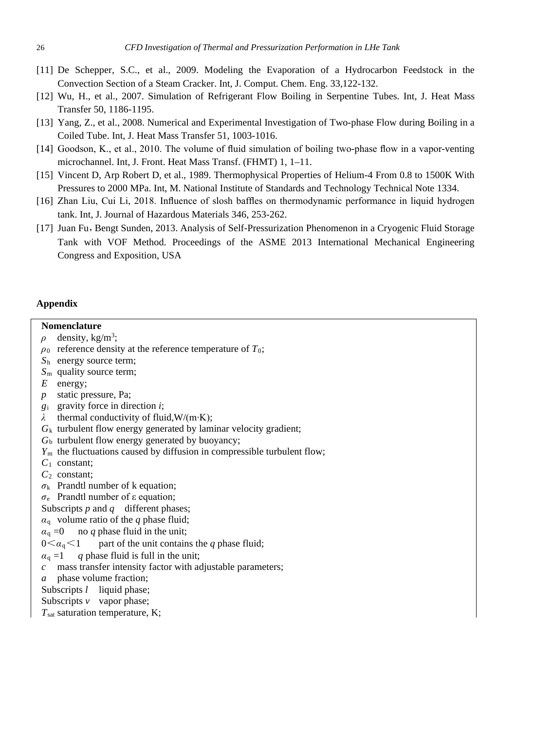- [11] De Schepper, S.C., et al., 2009. Modeling the Evaporation of a Hydrocarbon Feedstock in the Convection Section of a Steam Cracker. Int, J. Comput. Chem. Eng. 33,122-132.
- [12] Wu, H., et al., 2007. Simulation of Refrigerant Flow Boiling in Serpentine Tubes. Int, J. Heat Mass Transfer 50, 1186-1195.
- [13] Yang, Z., et al., 2008. Numerical and Experimental Investigation of Two-phase Flow during Boiling in a Coiled Tube. Int, J. Heat Mass Transfer 51, 1003-1016.
- [14] Goodson, K., et al., 2010. The volume of fluid simulation of boiling two-phase flow in a vapor-venting microchannel. Int, J. Front. Heat Mass Transf. (FHMT) 1, 1–11.
- [15] Vincent D, Arp Robert D, et al., 1989. Thermophysical Properties of Helium-4 From 0.8 to 1500K With Pressures to 2000 MPa. Int, M. National Institute of Standards and Technology Technical Note 1334.
- [16] Zhan Liu, Cui Li, 2018. Influence of slosh baffles on thermodynamic performance in liquid hydrogen tank. Int, J. Journal of Hazardous Materials 346, 253-262.
- [17] Juan Fu, Bengt Sunden, 2013. Analysis of Self-Pressurization Phenomenon in a Cryogenic Fluid Storage Tank with VOF Method. Proceedings of the ASME 2013 International Mechanical Engineering Congress and Exposition, USA

## **Appendix**

# **Nomenclature**

- $\rho$  density, kg/m<sup>3</sup>;
- *ρ*<sup>0</sup> reference density at the reference temperature of *T*0;
- *S*<sup>h</sup> energy source term;
- *S*<sup>m</sup> quality source term;
- *E* energy;
- *p* static pressure, Pa;
- *g*<sup>i</sup> gravity force in direction *i*;
- *λ* thermal conductivity of fluid,W/(m∙K);
- *G*<sup>k</sup> turbulent flow energy generated by laminar velocity gradient;
- $G<sub>b</sub>$  turbulent flow energy generated by buoyancy;
- *Y*<sup>m</sup> the fluctuations caused by diffusion in compressible turbulent flow;
- *C*<sup>1</sup> constant;
- *C*<sup>2</sup> constant;
- $\sigma_k$  Prandtl number of k equation;
- *σ*<sup>e</sup> Prandtl number of ε equation;

Subscripts *p* and *q* different phases;

- $\alpha_q$  volume ratio of the *q* phase fluid;
- $\alpha_q = 0$  no *q* phase fluid in the unit;
- $0 \leq \alpha_{q} \leq 1$  part of the unit contains the *q* phase fluid;
- $\alpha_q = 1$  *q* phase fluid is full in the unit;
- *c* mass transfer intensity factor with adjustable parameters;
- *a* phase volume fraction;
- Subscripts *l* liquid phase;
- Subscripts *v* vapor phase;
- *T*sat saturation temperature, K;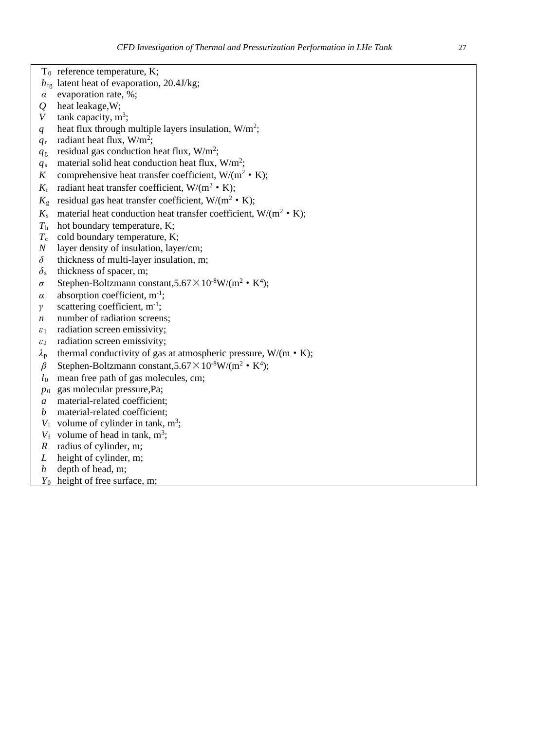- T<sub>0</sub> reference temperature, K;
- *h*fg latent heat of evaporation, 20.4J/kg;
- *α* evaporation rate, %;
- *Q* heat leakage,W;
- *V* tank capacity,  $m^3$ ;
- *q* heat flux through multiple layers insulation,  $W/m^2$ ;
- $q_r$  radiant heat flux, W/m<sup>2</sup>;
- $q_{\rm g}$  residual gas conduction heat flux, W/m<sup>2</sup>;
- $q_s$  material solid heat conduction heat flux,  $W/m^2$ ;
- K comprehensive heat transfer coefficient,  $W/(m^2 \cdot K)$ ;
- $K_r$  radiant heat transfer coefficient,  $W/(m^2 \cdot K)$ ;
- $K_{\rm g}$  residual gas heat transfer coefficient, W/(m<sup>2</sup> K);
- $K_s$  material heat conduction heat transfer coefficient,  $W/(m^2 \cdot K)$ ;
- $T_h$  hot boundary temperature, K;<br> $T_c$  cold boundary temperature, K
- cold boundary temperature, K;
- *N* layer density of insulation, layer/cm;
- *δ* thickness of multi-layer insulation, m;
- *δ*<sup>s</sup> thickness of spacer, m;
- $\sigma$  Stephen-Boltzmann constant,  $5.67 \times 10^{-8}$ W/(m<sup>2</sup> K<sup>4</sup>);
- $\alpha$  absorption coefficient, m<sup>-1</sup>;
- *γ* scattering coefficient, m<sup>-1</sup>;
- *n* number of radiation screens;
- *ε*<sup>1</sup> radiation screen emissivity;
- *ε*<sup>2</sup> radiation screen emissivity;
- *λ*<sup>p</sup> thermal conductivity of gas at atmospheric pressure, W/(m·K);
- $\beta$  Stephen-Boltzmann constant,5.67 $\times$ 10<sup>-8</sup>W/(m<sup>2</sup> K<sup>4</sup>);
- *l*<sup>0</sup> mean free path of gas molecules, cm;
- *p*<sup>0</sup> gas molecular pressure,Pa;
- *a* material-related coefficient;
- *b* material-related coefficient:
- $V_1$  volume of cylinder in tank, m<sup>3</sup>;
- $V_f$  volume of head in tank, m<sup>3</sup>;
- *R* radius of cylinder, m;
- *L* height of cylinder, m;
- *h* depth of head, m;
- *Y*<sup>0</sup> height of free surface, m;